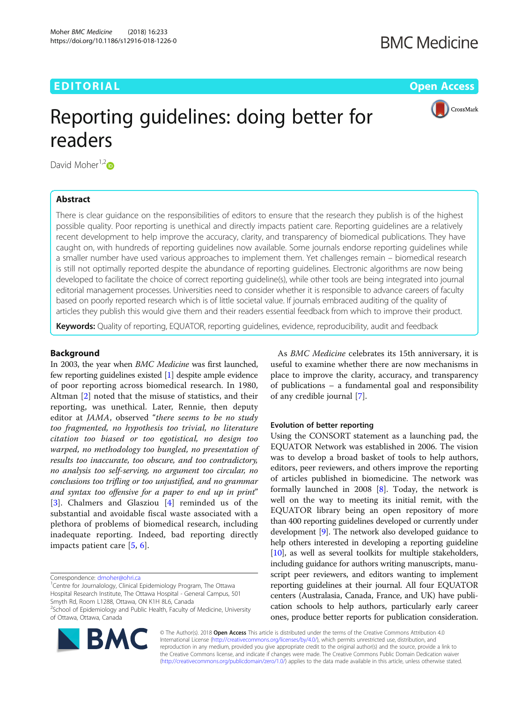# EDITORIAL AND Open Access to the contract of the contract of the contract of the contract of the contract of the contract of the contract of the contract of the contract of the contract of the contract of the contract of t

CrossMark



David Moher $1,2$ 

# Abstract

There is clear guidance on the responsibilities of editors to ensure that the research they publish is of the highest possible quality. Poor reporting is unethical and directly impacts patient care. Reporting guidelines are a relatively recent development to help improve the accuracy, clarity, and transparency of biomedical publications. They have caught on, with hundreds of reporting guidelines now available. Some journals endorse reporting guidelines while a smaller number have used various approaches to implement them. Yet challenges remain – biomedical research is still not optimally reported despite the abundance of reporting guidelines. Electronic algorithms are now being developed to facilitate the choice of correct reporting guideline(s), while other tools are being integrated into journal editorial management processes. Universities need to consider whether it is responsible to advance careers of faculty based on poorly reported research which is of little societal value. If journals embraced auditing of the quality of articles they publish this would give them and their readers essential feedback from which to improve their product.

Keywords: Quality of reporting, EQUATOR, reporting guidelines, evidence, reproducibility, audit and feedback

# Background

In 2003, the year when BMC Medicine was first launched, few reporting guidelines existed [\[1\]](#page-2-0) despite ample evidence of poor reporting across biomedical research. In 1980, Altman [\[2](#page-2-0)] noted that the misuse of statistics, and their reporting, was unethical. Later, Rennie, then deputy editor at *JAMA*, observed "there seems to be no study too fragmented, no hypothesis too trivial, no literature citation too biased or too egotistical, no design too warped, no methodology too bungled, no presentation of results too inaccurate, too obscure, and too contradictory, no analysis too self-serving, no argument too circular, no conclusions too trifling or too unjustified, and no grammar and syntax too offensive for a paper to end up in print" [[3\]](#page-2-0). Chalmers and Glasziou [\[4](#page-2-0)] reminded us of the substantial and avoidable fiscal waste associated with a plethora of problems of biomedical research, including inadequate reporting. Indeed, bad reporting directly impacts patient care [\[5](#page-2-0), [6\]](#page-2-0).

Centre for Journalology, Clinical Epidemiology Program, The Ottawa Hospital Research Institute, The Ottawa Hospital - General Campus, 501 Smyth Rd, Room L1288, Ottawa, ON K1H 8L6, Canada

<sup>2</sup>School of Epidemiology and Public Health, Faculty of Medicine, University of Ottawa, Ottawa, Canada



As BMC Medicine celebrates its 15th anniversary, it is useful to examine whether there are now mechanisms in place to improve the clarity, accuracy, and transparency of publications – a fundamental goal and responsibility of any credible journal [\[7](#page-2-0)].

# Evolution of better reporting

Using the CONSORT statement as a launching pad, the EQUATOR Network was established in 2006. The vision was to develop a broad basket of tools to help authors, editors, peer reviewers, and others improve the reporting of articles published in biomedicine. The network was formally launched in 2008  $[8]$  $[8]$ . Today, the network is well on the way to meeting its initial remit, with the EQUATOR library being an open repository of more than 400 reporting guidelines developed or currently under development [\[9\]](#page-2-0). The network also developed guidance to help others interested in developing a reporting guideline [[10](#page-2-0)], as well as several toolkits for multiple stakeholders, including guidance for authors writing manuscripts, manuscript peer reviewers, and editors wanting to implement reporting guidelines at their journal. All four EQUATOR centers (Australasia, Canada, France, and UK) have publication schools to help authors, particularly early career ones, produce better reports for publication consideration.

© The Author(s). 2018 Open Access This article is distributed under the terms of the Creative Commons Attribution 4.0 International License [\(http://creativecommons.org/licenses/by/4.0/](http://creativecommons.org/licenses/by/4.0/)), which permits unrestricted use, distribution, and reproduction in any medium, provided you give appropriate credit to the original author(s) and the source, provide a link to the Creative Commons license, and indicate if changes were made. The Creative Commons Public Domain Dedication waiver [\(http://creativecommons.org/publicdomain/zero/1.0/](http://creativecommons.org/publicdomain/zero/1.0/)) applies to the data made available in this article, unless otherwise stated.

Correspondence: [dmoher@ohri.ca](mailto:dmoher@ohri.ca) <sup>1</sup>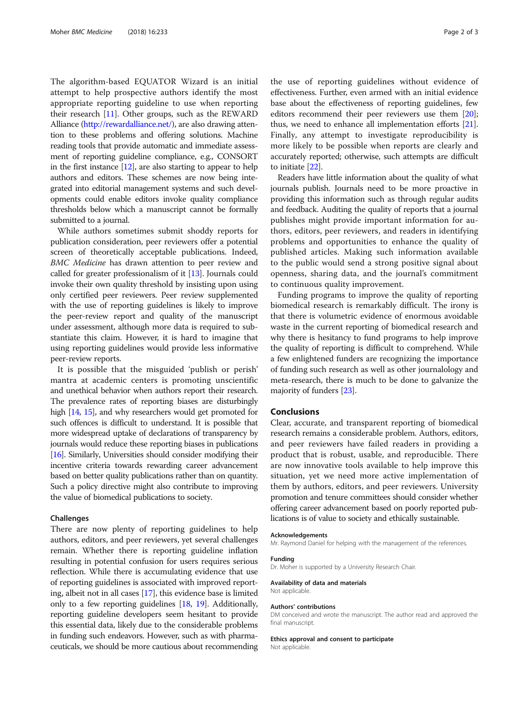The algorithm-based EQUATOR Wizard is an initial attempt to help prospective authors identify the most appropriate reporting guideline to use when reporting their research [\[11\]](#page-2-0). Other groups, such as the REWARD Alliance [\(http://rewardalliance.net/](http://rewardalliance.net/)), are also drawing attention to these problems and offering solutions. Machine reading tools that provide automatic and immediate assessment of reporting guideline compliance, e.g., CONSORT in the first instance  $[12]$ , are also starting to appear to help authors and editors. These schemes are now being integrated into editorial management systems and such developments could enable editors invoke quality compliance thresholds below which a manuscript cannot be formally submitted to a journal.

While authors sometimes submit shoddy reports for publication consideration, peer reviewers offer a potential screen of theoretically acceptable publications. Indeed, BMC Medicine has drawn attention to peer review and called for greater professionalism of it [\[13\]](#page-2-0). Journals could invoke their own quality threshold by insisting upon using only certified peer reviewers. Peer review supplemented with the use of reporting guidelines is likely to improve the peer-review report and quality of the manuscript under assessment, although more data is required to substantiate this claim. However, it is hard to imagine that using reporting guidelines would provide less informative peer-review reports.

It is possible that the misguided 'publish or perish' mantra at academic centers is promoting unscientific and unethical behavior when authors report their research. The prevalence rates of reporting biases are disturbingly high [\[14](#page-2-0), [15\]](#page-2-0), and why researchers would get promoted for such offences is difficult to understand. It is possible that more widespread uptake of declarations of transparency by journals would reduce these reporting biases in publications [[16](#page-2-0)]. Similarly, Universities should consider modifying their incentive criteria towards rewarding career advancement based on better quality publications rather than on quantity. Such a policy directive might also contribute to improving the value of biomedical publications to society.

### Challenges

There are now plenty of reporting guidelines to help authors, editors, and peer reviewers, yet several challenges remain. Whether there is reporting guideline inflation resulting in potential confusion for users requires serious reflection. While there is accumulating evidence that use of reporting guidelines is associated with improved reporting, albeit not in all cases [\[17\]](#page-2-0), this evidence base is limited only to a few reporting guidelines [[18](#page-2-0), [19](#page-2-0)]. Additionally, reporting guideline developers seem hesitant to provide this essential data, likely due to the considerable problems in funding such endeavors. However, such as with pharmaceuticals, we should be more cautious about recommending the use of reporting guidelines without evidence of effectiveness. Further, even armed with an initial evidence base about the effectiveness of reporting guidelines, few editors recommend their peer reviewers use them [[20](#page-2-0)]; thus, we need to enhance all implementation efforts [[21](#page-2-0)]. Finally, any attempt to investigate reproducibility is more likely to be possible when reports are clearly and accurately reported; otherwise, such attempts are difficult to initiate [[22](#page-2-0)].

Readers have little information about the quality of what journals publish. Journals need to be more proactive in providing this information such as through regular audits and feedback. Auditing the quality of reports that a journal publishes might provide important information for authors, editors, peer reviewers, and readers in identifying problems and opportunities to enhance the quality of published articles. Making such information available to the public would send a strong positive signal about openness, sharing data, and the journal's commitment to continuous quality improvement.

Funding programs to improve the quality of reporting biomedical research is remarkably difficult. The irony is that there is volumetric evidence of enormous avoidable waste in the current reporting of biomedical research and why there is hesitancy to fund programs to help improve the quality of reporting is difficult to comprehend. While a few enlightened funders are recognizing the importance of funding such research as well as other journalology and meta-research, there is much to be done to galvanize the majority of funders [[23](#page-2-0)].

# Conclusions

Clear, accurate, and transparent reporting of biomedical research remains a considerable problem. Authors, editors, and peer reviewers have failed readers in providing a product that is robust, usable, and reproducible. There are now innovative tools available to help improve this situation, yet we need more active implementation of them by authors, editors, and peer reviewers. University promotion and tenure committees should consider whether offering career advancement based on poorly reported publications is of value to society and ethically sustainable.

#### Acknowledgements

Mr. Raymond Daniel for helping with the management of the references.

## Funding

Dr. Moher is supported by a University Research Chair.

#### Availability of data and materials

Not applicable.

### Authors' contributions

DM conceived and wrote the manuscript. The author read and approved the final manuscript.

#### Ethics approval and consent to participate

Not applicable.